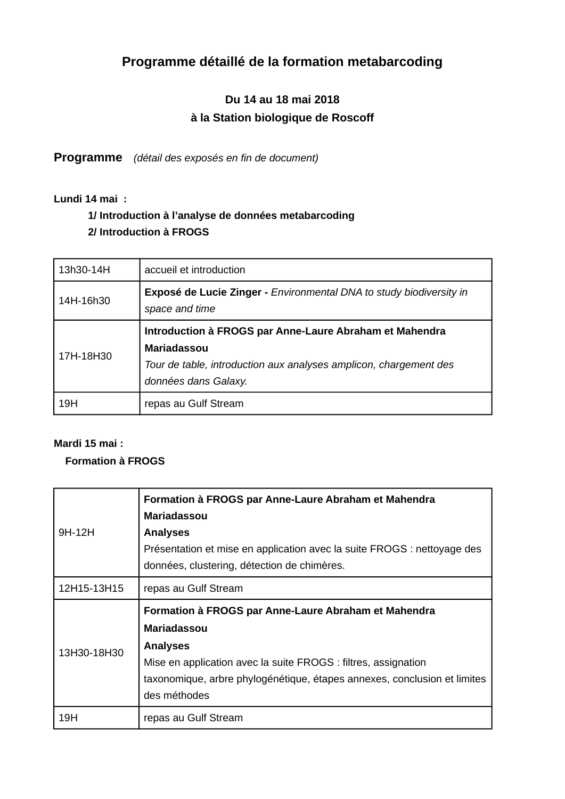# **Programme détaillé de la formation metabarcoding**

# **Du 14 au 18 mai 2018 à la Station biologique de Roscoff**

**Programme** *(détail des exposés en fin de document)*

**Lundi 14 mai :** 

# **1/ Introduction à l'analyse de données metabarcoding 2/ Introduction à FROGS**

| 13h30-14H | accueil et introduction                                                                                                                                                    |
|-----------|----------------------------------------------------------------------------------------------------------------------------------------------------------------------------|
| 14H-16h30 | <b>Exposé de Lucie Zinger - Environmental DNA to study biodiversity in</b><br>space and time                                                                               |
| 17H-18H30 | Introduction à FROGS par Anne-Laure Abraham et Mahendra<br><b>Mariadassou</b><br>Tour de table, introduction aux analyses amplicon, chargement des<br>données dans Galaxy. |
| 19H       | repas au Gulf Stream                                                                                                                                                       |

## **Mardi 15 mai :**

## **Formation à FROGS**

| 9H-12H      | Formation à FROGS par Anne-Laure Abraham et Mahendra<br><b>Mariadassou</b><br><b>Analyses</b><br>Présentation et mise en application avec la suite FROGS : nettoyage des<br>données, clustering, détection de chimères.                                     |
|-------------|-------------------------------------------------------------------------------------------------------------------------------------------------------------------------------------------------------------------------------------------------------------|
| 12H15-13H15 | repas au Gulf Stream                                                                                                                                                                                                                                        |
| 13H30-18H30 | Formation à FROGS par Anne-Laure Abraham et Mahendra<br><b>Mariadassou</b><br><b>Analyses</b><br>Mise en application avec la suite FROGS : filtres, assignation<br>taxonomique, arbre phylogénétique, étapes annexes, conclusion et limites<br>des méthodes |
| 19H         | repas au Gulf Stream                                                                                                                                                                                                                                        |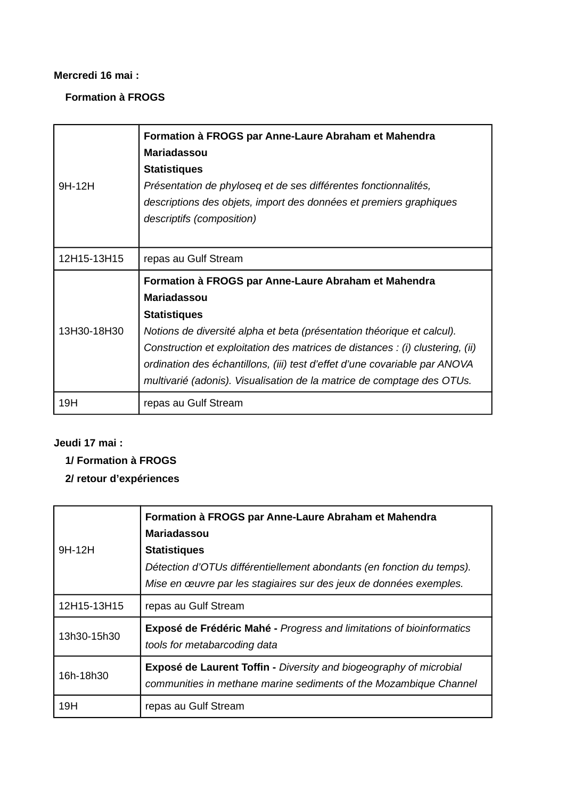#### **Mercredi 16 mai :**

## **Formation à FROGS**

| 9H-12H      | Formation à FROGS par Anne-Laure Abraham et Mahendra<br><b>Mariadassou</b><br><b>Statistiques</b><br>Présentation de phyloseq et de ses différentes fonctionnalités,<br>descriptions des objets, import des données et premiers graphiques<br>descriptifs (composition)                                                                                                                                              |
|-------------|----------------------------------------------------------------------------------------------------------------------------------------------------------------------------------------------------------------------------------------------------------------------------------------------------------------------------------------------------------------------------------------------------------------------|
| 12H15-13H15 | repas au Gulf Stream                                                                                                                                                                                                                                                                                                                                                                                                 |
| 13H30-18H30 | Formation à FROGS par Anne-Laure Abraham et Mahendra<br><b>Mariadassou</b><br><b>Statistiques</b><br>Notions de diversité alpha et beta (présentation théorique et calcul).<br>Construction et exploitation des matrices de distances : (i) clustering, (ii)<br>ordination des échantillons, (iii) test d'effet d'une covariable par ANOVA<br>multivarié (adonis). Visualisation de la matrice de comptage des OTUs. |
| 19H         | repas au Gulf Stream                                                                                                                                                                                                                                                                                                                                                                                                 |

## **Jeudi 17 mai :**

## **1/ Formation à FROGS**

# **2/ retour d'expériences**

|             | Formation à FROGS par Anne-Laure Abraham et Mahendra<br><b>Mariadassou</b>                                                                                         |
|-------------|--------------------------------------------------------------------------------------------------------------------------------------------------------------------|
| $9H-12H$    | <b>Statistiques</b><br>Détection d'OTUs différentiellement abondants (en fonction du temps).<br>Mise en œuvre par les stagiaires sur des jeux de données exemples. |
| 12H15-13H15 | repas au Gulf Stream                                                                                                                                               |
| 13h30-15h30 | Exposé de Frédéric Mahé - Progress and limitations of bioinformatics<br>tools for metabarcoding data                                                               |
| 16h-18h30   | <b>Exposé de Laurent Toffin - Diversity and biogeography of microbial</b><br>communities in methane marine sediments of the Mozambique Channel                     |
| 19H         | repas au Gulf Stream                                                                                                                                               |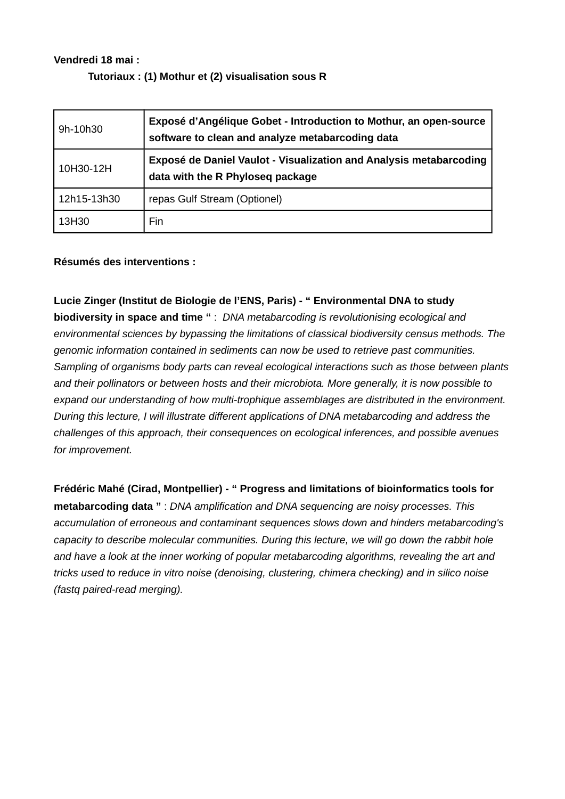#### **Vendredi 18 mai :**

#### **Tutoriaux : (1) Mothur et (2) visualisation sous R**

| 9h-10h30    | Exposé d'Angélique Gobet - Introduction to Mothur, an open-source<br>software to clean and analyze metabarcoding data |
|-------------|-----------------------------------------------------------------------------------------------------------------------|
| 10H30-12H   | <b>Exposé de Daniel Vaulot - Visualization and Analysis metabarcoding</b><br>data with the R Phyloseq package         |
| 12h15-13h30 | repas Gulf Stream (Optionel)                                                                                          |
| 13H30       | Fin                                                                                                                   |

#### **Résumés des interventions :**

#### **Lucie Zinger (Institut de Biologie de l'ENS, Paris) - " Environmental DNA to study**

**biodiversity in space and time "** : *DNA metabarcoding is revolutionising ecological and environmental sciences by bypassing the limitations of classical biodiversity census methods. The genomic information contained in sediments can now be used to retrieve past communities. Sampling of organisms body parts can reveal ecological interactions such as those between plants and their pollinators or between hosts and their microbiota. More generally, it is now possible to expand our understanding of how multi-trophique assemblages are distributed in the environment. During this lecture, I will illustrate different applications of DNA metabarcoding and address the challenges of this approach, their consequences on ecological inferences, and possible avenues for improvement.*

**Frédéric Mahé (Cirad, Montpellier) - " Progress and limitations of bioinformatics tools for metabarcoding data "** : *DNA amplification and DNA sequencing are noisy processes. This accumulation of erroneous and contaminant sequences slows down and hinders metabarcoding's capacity to describe molecular communities. During this lecture, we will go down the rabbit hole and have a look at the inner working of popular metabarcoding algorithms, revealing the art and tricks used to reduce in vitro noise (denoising, clustering, chimera checking) and in silico noise (fastq paired-read merging).*